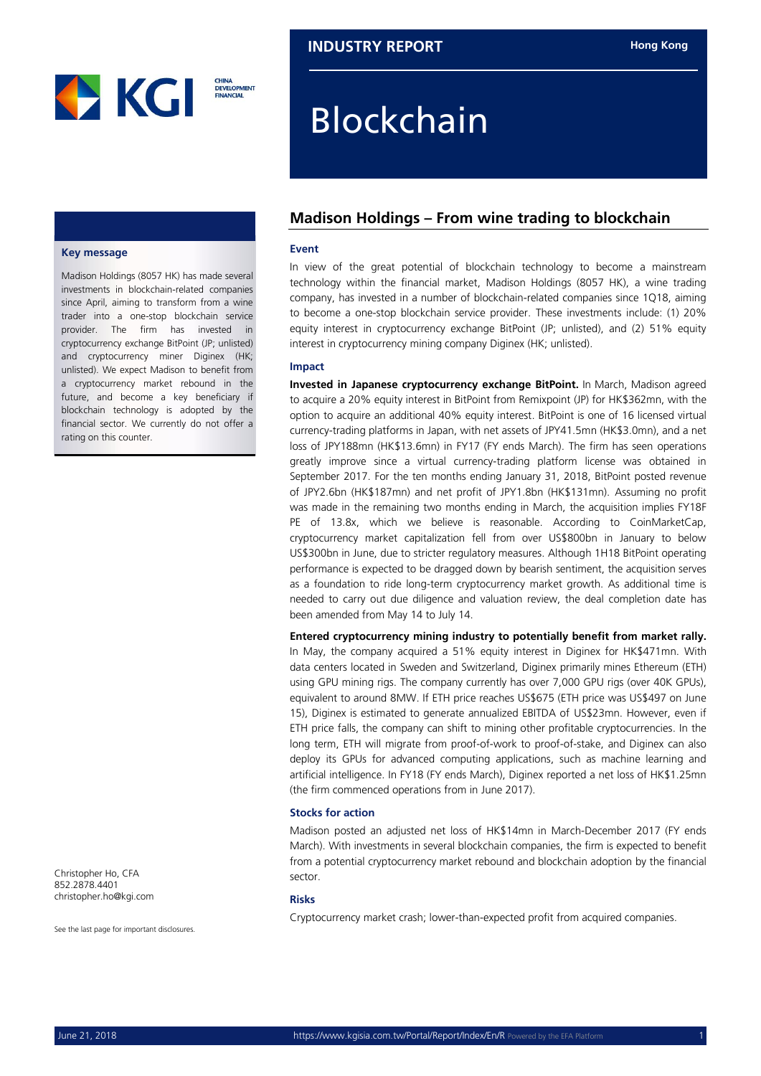## **INDUSTRY REPORT Hong Kong**

# Blockchain

#### **Key message**

Madison Holdings (8057 HK) has made several investments in blockchain-related companies since April, aiming to transform from a wine trader into a one-stop blockchain service provider. The firm has invested in cryptocurrency exchange BitPoint (JP; unlisted) and cryptocurrency miner Diginex (HK; unlisted). We expect Madison to benefit from a cryptocurrency market rebound in the future, and become a key beneficiary if blockchain technology is adopted by the financial sector. We currently do not offer a rating on this counter.

Christopher Ho, CFA 852.2878.4401 christopher.ho@kgi.com

See the last page for important disclosures.

### **Madison Holdings – From wine trading to blockchain**

#### **Event**

In view of the great potential of blockchain technology to become a mainstream technology within the financial market, Madison Holdings (8057 HK), a wine trading company, has invested in a number of blockchain-related companies since 1Q18, aiming to become a one-stop blockchain service provider. These investments include: (1) 20% equity interest in cryptocurrency exchange BitPoint (JP; unlisted), and (2) 51% equity interest in cryptocurrency mining company Diginex (HK; unlisted).

#### **Impact**

**Invested in Japanese cryptocurrency exchange BitPoint.** In March, Madison agreed to acquire a 20% equity interest in BitPoint from Remixpoint (JP) for HK\$362mn, with the option to acquire an additional 40% equity interest. BitPoint is one of 16 licensed virtual currency-trading platforms in Japan, with net assets of JPY41.5mn (HK\$3.0mn), and a net loss of JPY188mn (HK\$13.6mn) in FY17 (FY ends March). The firm has seen operations greatly improve since a virtual currency-trading platform license was obtained in September 2017. For the ten months ending January 31, 2018, BitPoint posted revenue of JPY2.6bn (HK\$187mn) and net profit of JPY1.8bn (HK\$131mn). Assuming no profit was made in the remaining two months ending in March, the acquisition implies FY18F PE of 13.8x, which we believe is reasonable. According to CoinMarketCap, cryptocurrency market capitalization fell from over US\$800bn in January to below US\$300bn in June, due to stricter regulatory measures. Although 1H18 BitPoint operating performance is expected to be dragged down by bearish sentiment, the acquisition serves as a foundation to ride long-term cryptocurrency market growth. As additional time is needed to carry out due diligence and valuation review, the deal completion date has been amended from May 14 to July 14.

**Entered cryptocurrency mining industry to potentially benefit from market rally.** In May, the company acquired a 51% equity interest in Diginex for HK\$471mn. With data centers located in Sweden and Switzerland, Diginex primarily mines Ethereum (ETH) using GPU mining rigs. The company currently has over 7,000 GPU rigs (over 40K GPUs), equivalent to around 8MW. If ETH price reaches US\$675 (ETH price was US\$497 on June 15), Diginex is estimated to generate annualized EBITDA of US\$23mn. However, even if ETH price falls, the company can shift to mining other profitable cryptocurrencies. In the long term, ETH will migrate from proof-of-work to proof-of-stake, and Diginex can also deploy its GPUs for advanced computing applications, such as machine learning and artificial intelligence. In FY18 (FY ends March), Diginex reported a net loss of HK\$1.25mn (the firm commenced operations from in June 2017).

#### **Stocks for action**

Madison posted an adjusted net loss of HK\$14mn in March-December 2017 (FY ends March). With investments in several blockchain companies, the firm is expected to benefit from a potential cryptocurrency market rebound and blockchain adoption by the financial sector.

#### **Risks**

Cryptocurrency market crash; lower-than-expected profit from acquired companies.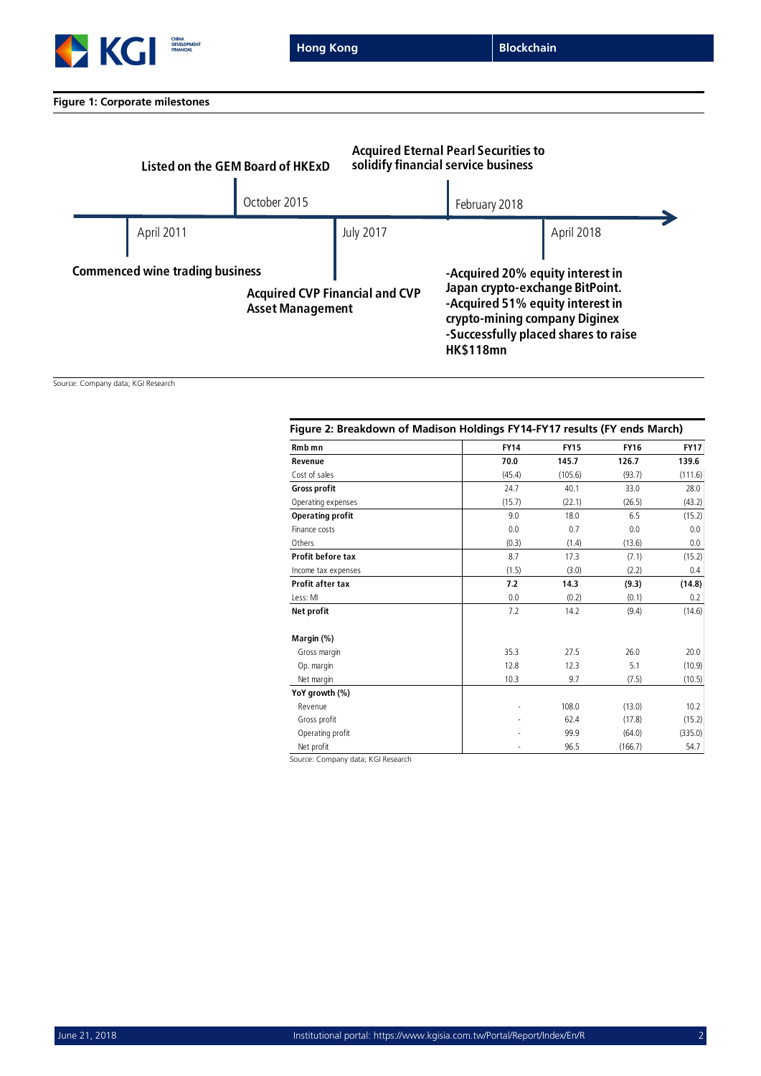

**Figure 1: Corporate milestones**



*Source: Company data; KGI Research*

| Figure 2: Breakdown of Madison Holdings FY14-FY17 results (FY ends March) |             |             |             |             |  |
|---------------------------------------------------------------------------|-------------|-------------|-------------|-------------|--|
| Rmb mn                                                                    | <b>FY14</b> | <b>FY15</b> | <b>FY16</b> | <b>FY17</b> |  |
| Revenue                                                                   | 70.0        | 145.7       | 126.7       | 139.6       |  |
| Cost of sales                                                             | (45.4)      | (105.6)     | (93.7)      | (111.6)     |  |
| <b>Gross profit</b>                                                       | 24.7        | 40.1        | 33.0        | 28.0        |  |
| Operating expenses                                                        | (15.7)      | (22.1)      | (26.5)      | (43.2)      |  |
| <b>Operating profit</b>                                                   | 9.0         | 18.0        | 6.5         | (15.2)      |  |
| Finance costs                                                             | 0.0         | 0.7         | 0.0         | 0.0         |  |
| Others                                                                    | (0.3)       | (1.4)       | (13.6)      | 0.0         |  |
| Profit before tax                                                         | 8.7         | 17.3        | (7.1)       | (15.2)      |  |
| Income tax expenses                                                       | (1.5)       | (3.0)       | (2.2)       | 0.4         |  |
| Profit after tax                                                          | 7.2         | 14.3        | (9.3)       | (14.8)      |  |
| Less: MI                                                                  | 0.0         | (0.2)       | (0.1)       | 0.2         |  |
| Net profit                                                                | 7.2         | 14.2        | (9.4)       | (14.6)      |  |
| Margin (%)                                                                |             |             |             |             |  |
| Gross margin                                                              | 35.3        | 27.5        | 26.0        | 20.0        |  |
| Op. margin                                                                | 12.8        | 12.3        | 5.1         | (10.9)      |  |
| Net margin                                                                | 10.3        | 9.7         | (7.5)       | (10.5)      |  |
| YoY growth (%)                                                            |             |             |             |             |  |
| Revenue                                                                   |             | 108.0       | (13.0)      | 10.2        |  |
| Gross profit                                                              |             | 62.4        | (17.8)      | (15.2)      |  |
| Operating profit                                                          |             | 99.9        | (64.0)      | (335.0)     |  |
| Net profit                                                                |             | 96.5        | (166.7)     | 54.7        |  |

*Source: Company data; KGI Research*